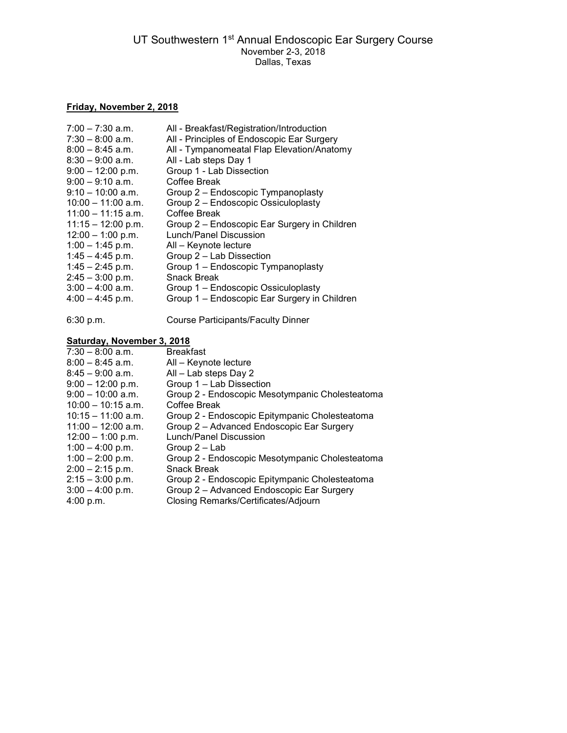## Friday, November 2, 2018

| $7:00 - 7:30$ a.m.   | All - Breakfast/Registration/Introduction    |
|----------------------|----------------------------------------------|
| $7:30 - 8:00$ a.m.   | All - Principles of Endoscopic Ear Surgery   |
| $8:00 - 8:45$ a.m.   | All - Tympanomeatal Flap Elevation/Anatomy   |
| $8:30 - 9:00$ a.m.   | All - Lab steps Day 1                        |
| $9:00 - 12:00$ p.m.  | Group 1 - Lab Dissection                     |
| $9:00 - 9:10$ a.m.   | Coffee Break                                 |
| $9:10 - 10:00$ a.m.  | Group 2 - Endoscopic Tympanoplasty           |
| $10:00 - 11:00$ a.m. | Group 2 - Endoscopic Ossiculoplasty          |
| $11:00 - 11:15$ a.m. | Coffee Break                                 |
| $11:15 - 12:00$ p.m. | Group 2 – Endoscopic Ear Surgery in Children |
| $12:00 - 1:00$ p.m.  | Lunch/Panel Discussion                       |
| $1:00 - 1:45$ p.m.   | All - Keynote lecture                        |
| $1:45 - 4:45$ p.m.   | Group 2 - Lab Dissection                     |
| $1:45 - 2:45$ p.m.   | Group 1 - Endoscopic Tympanoplasty           |
| $2:45 - 3:00$ p.m.   | Snack Break                                  |
| $3:00 - 4:00$ a.m.   | Group 1 - Endoscopic Ossiculoplasty          |
| $4:00 - 4:45$ p.m.   | Group 1 – Endoscopic Ear Surgery in Children |
|                      |                                              |

6:30 p.m. Course Participants/Faculty Dinner

## Saturday, November 3, 2018

| $7:30 - 8:00$ a.m.   | <b>Breakfast</b>                                |
|----------------------|-------------------------------------------------|
| $8:00 - 8:45$ a.m.   | All - Keynote lecture                           |
| $8:45 - 9:00$ a.m.   | All - Lab steps Day 2                           |
| $9:00 - 12:00$ p.m.  | Group 1 - Lab Dissection                        |
| $9:00 - 10:00$ a.m.  | Group 2 - Endoscopic Mesotympanic Cholesteatoma |
| $10:00 - 10:15$ a.m. | Coffee Break                                    |
| $10:15 - 11:00$ a.m. | Group 2 - Endoscopic Epitympanic Cholesteatoma  |
| $11:00 - 12:00$ a.m. | Group 2 - Advanced Endoscopic Ear Surgery       |
| $12:00 - 1:00$ p.m.  | Lunch/Panel Discussion                          |
| $1:00 - 4:00$ p.m.   | Group 2 – Lab                                   |
| $1:00 - 2:00$ p.m.   | Group 2 - Endoscopic Mesotympanic Cholesteatoma |
| $2:00 - 2:15$ p.m.   | <b>Snack Break</b>                              |
| $2:15 - 3:00$ p.m.   | Group 2 - Endoscopic Epitympanic Cholesteatoma  |
| $3:00 - 4:00$ p.m.   | Group 2 - Advanced Endoscopic Ear Surgery       |
| 4:00 p.m.            | Closing Remarks/Certificates/Adjourn            |
|                      |                                                 |